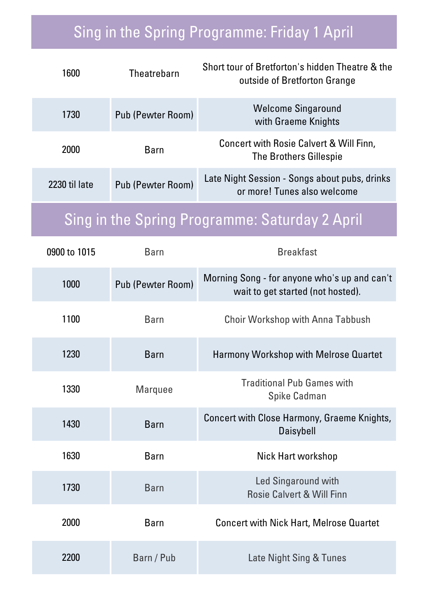## Sing in the Spring Programme: Friday 1 April

| 1600                                                  | <b>Theatrebarn</b>       | Short tour of Bretforton's hidden Theatre & the<br>outside of Bretforton Grange   |  |  |
|-------------------------------------------------------|--------------------------|-----------------------------------------------------------------------------------|--|--|
| 1730                                                  | <b>Pub (Pewter Room)</b> | <b>Welcome Singaround</b><br>with Graeme Knights                                  |  |  |
| 2000                                                  | <b>Barn</b>              | Concert with Rosie Calvert & Will Finn,<br><b>The Brothers Gillespie</b>          |  |  |
| 2230 til late                                         | Pub (Pewter Room)        | Late Night Session - Songs about pubs, drinks<br>or more! Tunes also welcome      |  |  |
| <b>Sing in the Spring Programme: Saturday 2 April</b> |                          |                                                                                   |  |  |
|                                                       |                          |                                                                                   |  |  |
| 0900 to 1015                                          | <b>Barn</b>              | <b>Breakfast</b>                                                                  |  |  |
| 1000                                                  | <b>Pub (Pewter Room)</b> | Morning Song - for anyone who's up and can't<br>wait to get started (not hosted). |  |  |
| 1100                                                  | <b>Barn</b>              | <b>Choir Workshop with Anna Tabbush</b>                                           |  |  |

| 1230 | <b>Barn</b>    | Harmony Workshop with Melrose Quartet                       |
|------|----------------|-------------------------------------------------------------|
| 1330 | <b>Marquee</b> | <b>Traditional Pub Games with</b><br><b>Spike Cadman</b>    |
| 1430 | <b>Barn</b>    | Concert with Close Harmony, Graeme Knights,<br>Daisybell    |
| 1630 | <b>Barn</b>    | Nick Hart workshop                                          |
| 1730 | <b>Barn</b>    | Led Singaround with<br><b>Rosie Calvert &amp; Will Finn</b> |
| 2000 | <b>Barn</b>    | <b>Concert with Nick Hart, Melrose Quartet</b>              |
| 2200 | Barn / Pub     | Late Night Sing & Tunes                                     |